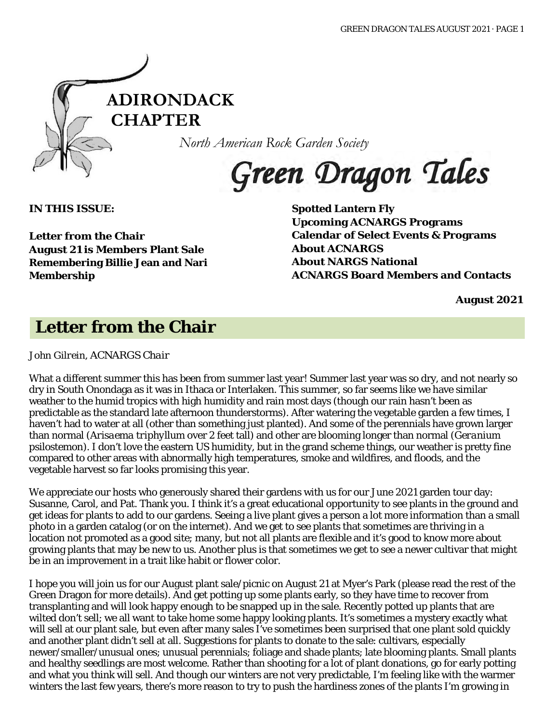

*North American Rock Garden Society*

Green Dragon Tales

**IN THIS ISSUE:**

**Letter from the Chair August 21 is Members Plant Sale Remembering Billie Jean and Nari Membership**

**Spotted Lantern Fly Upcoming ACNARGS Programs Calendar of Select Events & Programs About ACNARGS About NARGS National ACNARGS Board Members and Contacts**

**August 2021**

## **Letter from the Chair**

*John Gilrein, ACNARGS Chair*

What a different summer this has been from summer last year! Summer last year was so dry, and not nearly so dry in South Onondaga as it was in Ithaca or Interlaken. This summer, so far seems like we have similar weather to the humid tropics with high humidity and rain most days (though our rain hasn't been as predictable as the standard late afternoon thunderstorms). After watering the vegetable garden a few times, I haven't had to water at all (other than something just planted). And some of the perennials have grown larger than normal (*Arisaema triphyllum* over 2 feet tall) and other are blooming longer than normal (*Geranium psilostemon*). I don't love the eastern US humidity, but in the grand scheme things, our weather is pretty fine compared to other areas with abnormally high temperatures, smoke and wildfires, and floods, and the vegetable harvest so far looks promising this year.

We appreciate our hosts who generously shared their gardens with us for our June 2021 garden tour day: Susanne, Carol, and Pat. Thank you. I think it's a great educational opportunity to see plants in the ground and get ideas for plants to add to our gardens. Seeing a live plant gives a person a lot more information than a small photo in a garden catalog (or on the internet). And we get to see plants that sometimes are thriving in a location not promoted as a good site; many, but not all plants are flexible and it's good to know more about growing plants that may be new to us. Another plus is that sometimes we get to see a newer cultivar that might be in an improvement in a trait like habit or flower color.

I hope you will join us for our August plant sale/picnic on August 21 at Myer's Park (please read the rest of the Green Dragon for more details). And get potting up some plants early, so they have time to recover from transplanting and will look happy enough to be snapped up in the sale. Recently potted up plants that are wilted don't sell; we all want to take home some happy looking plants. It's sometimes a mystery exactly what will sell at our plant sale, but even after many sales I've sometimes been surprised that one plant sold quickly and another plant didn't sell at all. Suggestions for plants to donate to the sale: cultivars, especially newer/smaller/unusual ones; unusual perennials; foliage and shade plants; late blooming plants. Small plants and healthy seedlings are most welcome. Rather than shooting for a lot of plant donations, go for early potting and what you think will sell. And though our winters are not very predictable, I'm feeling like with the warmer winters the last few years, there's more reason to try to push the hardiness zones of the plants I'm growing in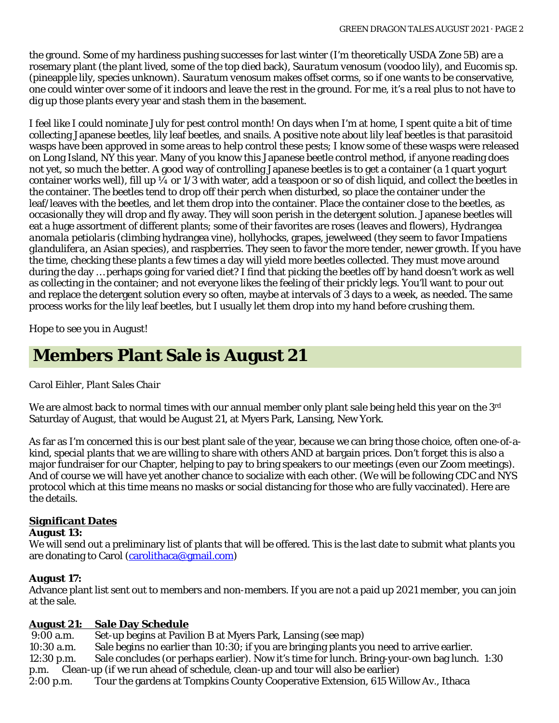the ground. Some of my hardiness pushing successes for last winter (I'm theoretically USDA Zone 5B) are a rosemary plant (the plant lived, some of the top died back), *Sauratum venosum* (voodoo lily), and *Eucomis* sp. (pineapple lily, species unknown). *Sauratum venosum* makes offset corms, so if one wants to be conservative, one could winter over some of it indoors and leave the rest in the ground. For me, it's a real plus to not have to dig up those plants every year and stash them in the basement.

I feel like I could nominate July for pest control month! On days when I'm at home, I spent quite a bit of time collecting Japanese beetles, lily leaf beetles, and snails. A positive note about lily leaf beetles is that parasitoid wasps have been approved in some areas to help control these pests; I know some of these wasps were released on Long Island, NY this year. Many of you know this Japanese beetle control method, if anyone reading does not yet, so much the better. A good way of controlling Japanese beetles is to get a container (a 1 quart yogurt container works well), fill up  $\frac{1}{4}$  or  $\frac{1}{3}$  with water, add a teaspoon or so of dish liquid, and collect the beetles in the container. The beetles tend to drop off their perch when disturbed, so place the container under the leaf/leaves with the beetles, and let them drop into the container. Place the container close to the beetles, as occasionally they will drop and fly away. They will soon perish in the detergent solution. Japanese beetles will eat a huge assortment of different plants; some of their favorites are roses (leaves and flowers), *Hydrangea anomala petiolaris* (climbing hydrangea vine), hollyhocks, grapes, jewelweed (they seem to favor *Impatiens glandulifera*, an Asian species), and raspberries. They seen to favor the more tender, newer growth. If you have the time, checking these plants a few times a day will yield more beetles collected. They must move around during the day … perhaps going for varied diet? I find that picking the beetles off by hand doesn't work as well as collecting in the container; and not everyone likes the feeling of their prickly legs. You'll want to pour out and replace the detergent solution every so often, maybe at intervals of 3 days to a week, as needed. The same process works for the lily leaf beetles, but I usually let them drop into my hand before crushing them.

Hope to see you in August!

## **Members Plant Sale is August 21**

## *Carol Eihler, Plant Sales Chair*

We are almost back to normal times with our annual member only plant sale being held this year on the 3<sup>rd</sup> Saturday of August, that would be August 21, at Myers Park, Lansing, New York.

As far as I'm concerned this is our best plant sale of the year, because we can bring those choice, often one-of-akind, special plants that we are willing to share with others AND at bargain prices. Don't forget this is also a major fundraiser for our Chapter, helping to pay to bring speakers to our meetings (even our Zoom meetings). And of course we will have yet another chance to socialize with each other. (We will be following CDC and NYS protocol which at this time means no masks or social distancing for those who are fully vaccinated). Here are the details.

## **Significant Dates**

#### **August 13:**

We will send out a preliminary list of plants that will be offered. This is the last date to submit what plants you are donating to Carol [\(carolithaca@gmail.com\)](mailto:carolithaca@gmail.com)

## **August 17:**

Advance plant list sent out to members and non-members. If you are not a paid up 2021 member, you can join at the sale.

**August 21: Sale Day Schedule** Set-up begins at Pavilion B at Myers Park, Lansing (see map) 10:30 a.m. Sale begins no earlier than 10:30; if you are bringing plants you need to arrive earlier. 12:30 p.m. Sale concludes (or perhaps earlier). Now it's time for lunch. Bring-your-own bag lunch. 1:30 p.m. Clean-up (if we run ahead of schedule, clean-up and tour will also be earlier) 2:00 p.m. Tour the gardens at Tompkins County Cooperative Extension, 615 Willow Av., Ithaca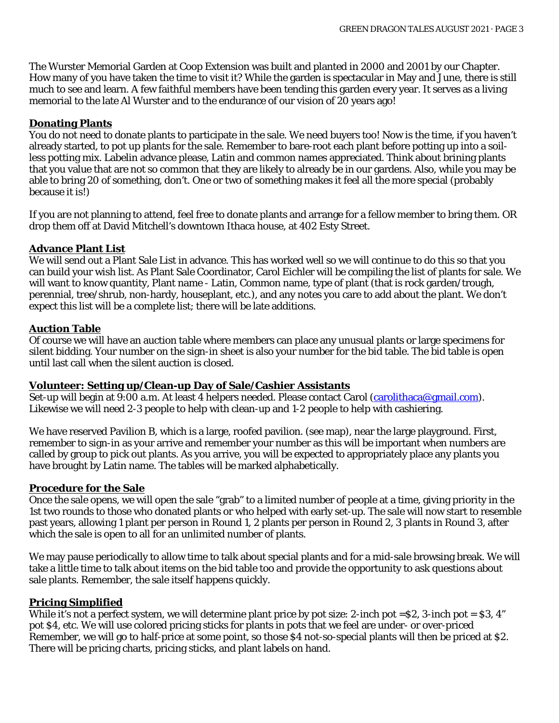The Wurster Memorial Garden at Coop Extension was built and planted in 2000 and 2001 by our Chapter. How many of you have taken the time to visit it? While the garden is spectacular in May and June, there is still much to see and learn. A few faithful members have been tending this garden every year. It serves as a living memorial to the late Al Wurster and to the endurance of our vision of 20 years ago!

## **Donating Plants**

You do not need to donate plants to participate in the sale. We need buyers too! Now is the time, if you haven't already started, to pot up plants for the sale. Remember to bare-root each plant before potting up into a soilless potting mix. Labelin advance please, Latin and common names appreciated. Think about brining plants that you value that are not so common that they are likely to already be in our gardens. Also, while you may be able to bring 20 of something, don't. One or two of something makes it feel all the more special (probably because it is!)

If you are not planning to attend, feel free to donate plants and arrange for a fellow member to bring them. OR drop them off at David Mitchell's downtown Ithaca house, at 402 Esty Street.

## **Advance Plant List**

We will send out a Plant Sale List in advance. This has worked well so we will continue to do this so that you can build your wish list. As Plant Sale Coordinator, Carol Eichler will be compiling the list of plants for sale. We will want to know quantity, Plant name - Latin, Common name, type of plant (that is rock garden/trough, perennial, tree/shrub, non-hardy, houseplant, etc.), and any notes you care to add about the plant. We don't expect this list will be a complete list; there will be late additions.

## **Auction Table**

Of course we will have an auction table where members can place any unusual plants or large specimens for silent bidding. Your number on the sign-in sheet is also your number for the bid table. The bid table is open until last call when the silent auction is closed.

#### **Volunteer: Setting up/Clean-up Day of Sale/Cashier Assistants**

Set-up will begin at 9:00 a.m. At least 4 helpers needed. Please contact Carol [\(carolithaca@gmail.com\)](mailto:carolithaca@gmail.com). Likewise we will need 2-3 people to help with clean-up and 1-2 people to help with cashiering.

We have reserved Pavilion B, which is a large, roofed pavilion. (see map), near the large playground. First, remember to sign-in as your arrive and remember your number as this will be important when numbers are called by group to pick out plants. As you arrive, you will be expected to appropriately place any plants you have brought by Latin name. The tables will be marked alphabetically.

## **Procedure for the Sale**

Once the sale opens, we will open the sale "grab" to a limited number of people at a time, giving priority in the 1st two rounds to those who donated plants or who helped with early set-up. The sale will now start to resemble past years, allowing 1 plant per person in Round 1, 2 plants per person in Round 2, 3 plants in Round 3, after which the sale is open to all for an unlimited number of plants.

We may pause periodically to allow time to talk about special plants and for a mid-sale browsing break. We will take a little time to talk about items on the bid table too and provide the opportunity to ask questions about sale plants. Remember, the sale itself happens quickly.

## **Pricing Simplified**

While it's not a perfect system, we will determine plant price by pot size: 2-inch pot =  $\frac{1}{2}$ , 3-inch pot =  $\frac{1}{2}$ , 3, 4" pot \$4, etc. We will use colored pricing sticks for plants in pots that we feel are under- or over-priced Remember, we will go to half-price at some point, so those \$4 not-so-special plants will then be priced at \$2. There will be pricing charts, pricing sticks, and plant labels on hand.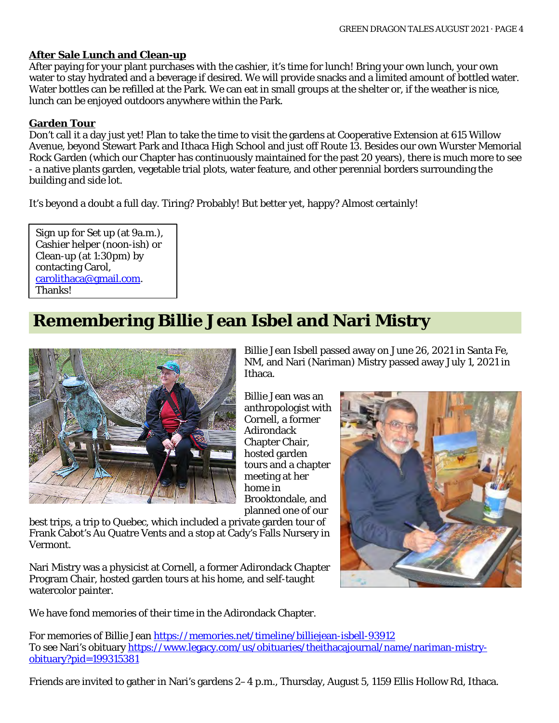#### **After Sale Lunch and Clean-up**

After paying for your plant purchases with the cashier, it's time for lunch! Bring your own lunch, your own water to stay hydrated and a beverage if desired. We will provide snacks and a limited amount of bottled water. Water bottles can be refilled at the Park. We can eat in small groups at the shelter or, if the weather is nice, lunch can be enjoyed outdoors anywhere within the Park.

#### **Garden Tour**

Don't call it a day just yet! Plan to take the time to visit the gardens at Cooperative Extension at 615 Willow Avenue, beyond Stewart Park and Ithaca High School and just off Route 13. Besides our own Wurster Memorial Rock Garden (which our Chapter has continuously maintained for the past 20 years), there is much more to see - a native plants garden, vegetable trial plots, water feature, and other perennial borders surrounding the building and side lot.

It's beyond a doubt a full day. Tiring? Probably! But better yet, happy? Almost certainly!

Sign up for Set up (at 9a.m.), Cashier helper (noon-ish) or Clean-up (at 1:30pm) by contacting Carol, [carolithaca@gmail.com.](mailto:carolithaca@gmail.com) Thanks!

## **Remembering Billie Jean Isbel and Nari Mistry**



Billie Jean Isbell passed away on June 26, 2021 in Santa Fe, NM, and Nari (Nariman) Mistry passed away July 1, 2021 in Ithaca.

Billie Jean was an anthropologist with Cornell, a former Adirondack Chapter Chair, hosted garden tours and a chapter meeting at her home in Brooktondale, and planned one of our

best trips, a trip to Quebec, which included a private garden tour of Frank Cabot's Au Quatre Vents and a stop at Cady's Falls Nursery in Vermont.

Nari Mistry was a physicist at Cornell, a former Adirondack Chapter Program Chair, hosted garden tours at his home, and self-taught watercolor painter.

We have fond memories of their time in the Adirondack Chapter.

For memories of Billie Jean <https://memories.net/timeline/billiejean-isbell-93912> To see Nari's obituary [https://www.legacy.com/us/obituaries/theithacajournal/name/nariman-mistry](https://www.legacy.com/us/obituaries/theithacajournal/name/nariman-mistry-obituary?pid=199315381)[obituary?pid=199315381](https://www.legacy.com/us/obituaries/theithacajournal/name/nariman-mistry-obituary?pid=199315381)

Friends are invited to gather in Nari's gardens 2–4 p.m., Thursday, August 5, 1159 Ellis Hollow Rd, Ithaca.

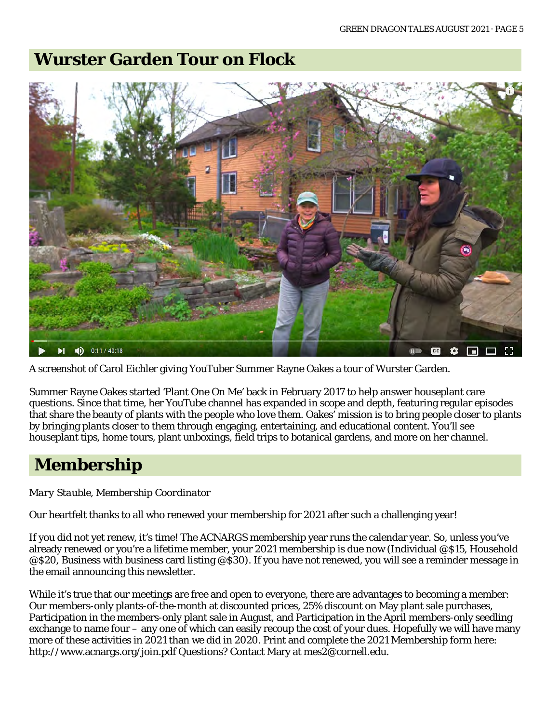## **Wurster Garden Tour on Flock**



A screenshot of Carol Eichler giving YouTuber Summer Rayne Oakes a tour of Wurster Garden.

Summer Rayne Oakes started 'Plant One On Me' back in February 2017 to help answer houseplant care questions. Since that time, her YouTube channel has expanded in scope and depth, featuring regular episodes that share the beauty of plants with the people who love them. Oakes' mission is to bring people closer to plants by bringing plants closer to them through engaging, entertaining, and educational content. You'll see houseplant tips, home tours, plant unboxings, field trips to botanical gardens, and more on her channel.

## **Membership**

*Mary Stauble, Membership Coordinator*

Our heartfelt thanks to all who renewed your membership for 2021 after such a challenging year!

If you did not yet renew, it's time! The ACNARGS membership year runs the calendar year. So, unless you've already renewed or you're a lifetime member, your 2021 membership is due now (Individual @\$15, Household @\$20, Business with business card listing @\$30). If you have not renewed, you will see a reminder message in the email announcing this newsletter.

While it's true that our meetings are free and open to everyone, there are advantages to becoming a member: Our members-only plants-of-the-month at discounted prices, 25% discount on May plant sale purchases, Participation in the members-only plant sale in August, and Participation in the April members-only seedling exchange to name four – any one of which can easily recoup the cost of your dues. Hopefully we will have many more of these activities in 2021 than we did in 2020. Print and complete the 2021 Membership form here: http://www.acnargs.org/join.pdf Questions? Contact Mary at mes2@cornell.edu.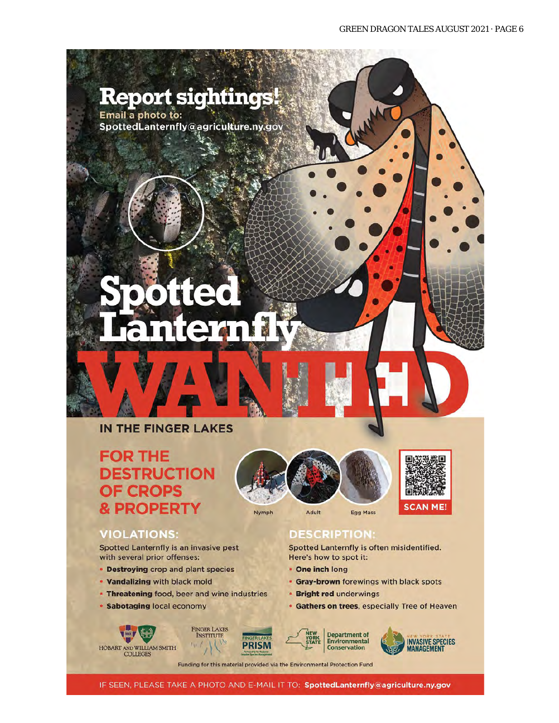## **Report sightings!**

Email a photo to: SpottedLanternfly@agriculture.ny.gov

# nteran

## IN THE FINGER LAKES

## **FOR THE DESTRUCTION OF CROPS & PROPERTY**

## **VIOLATIONS:**

Spotted Lanternfly is an invasive pest with several prior offenses:

- Destroying crop and plant species
- . Vandalizing with black mold
- Threatening food, beer and wine industries

**FINGER LAKES** 

**INSTITUTE** 

y

 $t_V$ ,  $t_{\rm d}$ 

· Sabotaging local economy

 $\begin{array}{ll} \textbf{HOBART AND WILLIAM SMTP} \\ \textbf{COLLEGES} \end{array}$ 





#### **DESCRIPTION:**

Spotted Lanternfly is often misidentified. Here's how to spot it:

- One inch long
- Gray-brown forewings with black spots
- **Bright red underwings**
- Gathers on trees, especially Tree of Heaven



**Department of Environmental Conservation** 



Funding for this material provided via the Environmental Protection Fund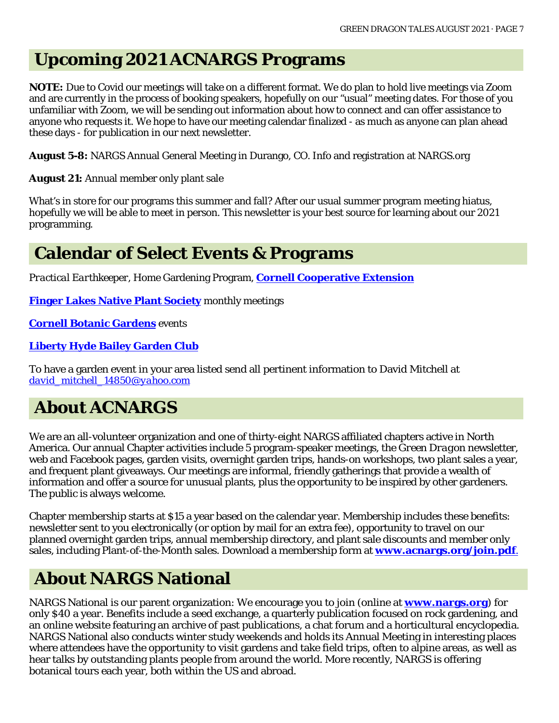## **Upcoming 2021 ACNARGS Programs**

**NOTE:** Due to Covid our meetings will take on a different format. We do plan to hold live meetings via Zoom and are currently in the process of booking speakers, hopefully on our "usual" meeting dates. For those of you unfamiliar with Zoom, we will be sending out information about how to connect and can offer assistance to anyone who requests it. We hope to have our meeting calendar finalized - as much as anyone can plan ahead these days - for publication in our next newsletter.

**August 5-8:** NARGS Annual General Meeting in Durango, CO. Info and registration at NARGS.org

**August 21:** Annual member only plant sale

What's in store for our programs this summer and fall? After our usual summer program meeting hiatus, hopefully we will be able to meet in person. This newsletter is your best source for learning about our 2021 programming.

## **Calendar of Select Events & Programs**

*Practical Earthkeeper*, Home Gardening Program, **[Cornell Cooperative Extension](http://ccetompkins.org/gardening/practical-earthkeeper)**

**[Finger Lakes Native Plant Society](http://ccetompkins.org/gardening/practical-earthkeeper)** monthly meetings

**[Cornell Botanic Gardens](https://cornellbotanicgardens.org/explore/events/)** events

## **[Liberty Hyde Bailey Garden Club](http://www.hort.cornell.edu/LHBGC/)**

To have a garden event in your area listed send all pertinent information to David Mitchell at *[david\\_mitchell\\_14850@yahoo.com](mailto:david_mitchell_14850@yahoo.com)*

## **About ACNARGS**

We are an all-volunteer organization and one of thirty-eight NARGS affiliated chapters active in North America. Our annual Chapter activities include 5 program-speaker meetings, the *Green Dragon* newsletter, web and Facebook pages, garden visits, overnight garden trips, hands-on workshops, two plant sales a year, and frequent plant giveaways. Our meetings are informal, friendly gatherings that provide a wealth of information and offer a source for unusual plants, plus the opportunity to be inspired by other gardeners. The public is always welcome.

Chapter membership starts at \$15 a year based on the calendar year. Membership includes these benefits: newsletter sent to you electronically (or option by mail for an extra fee), opportunity to travel on our planned overnight garden trips, annual membership directory, and plant sale discounts and member only sales, including Plant-of-the-Month sales. Download a membership form at **[www.acnargs.org/join.pdf](http://www.acnargs.org/join.pdf.)**.

## **About NARGS National**

NARGS National is our parent organization: We encourage you to join (online at **www.nargs.org**) for only \$40 a year. Benefits include a seed exchange, a quarterly publication focused on rock gardening, and an online website featuring an archive of past publications, a chat forum and a horticultural encyclopedia. NARGS National also conducts winter study weekends and holds its Annual Meeting in interesting places where attendees have the opportunity to visit gardens and take field trips, often to alpine areas, as well as hear talks by outstanding plants people from around the world. More recently, NARGS is offering botanical tours each year, both within the US and abroad.